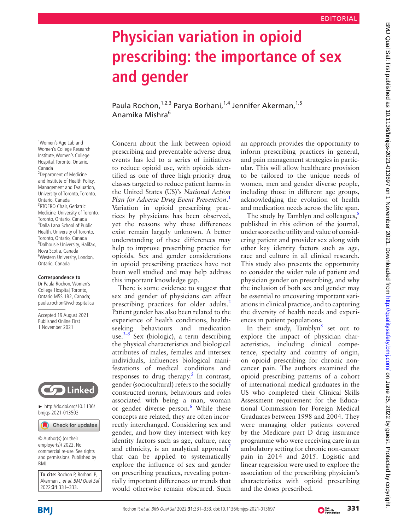# **Physician variation in opioid prescribing: the importance of sex and gender**

Paula Rochon, <sup>1,2,3</sup> Parya Borhani, <sup>1,4</sup> Jennifer Akerman, <sup>1,5</sup> Anamika Mishra6

<sup>1</sup>Women's Age Lab and Women's College Research Institute, Women's College Hospital, Toronto, Ontario, Canada 2 Department of Medicine and Institute of Health Policy, Management and Evaluation, University of Toronto, Toronto, Ontario, Canada <sup>3</sup>RTOERO Chair, Geriatric Medicine, University of Toronto, Toronto, Ontario, Canada 4 Dalla Lana School of Public Health, University of Toronto, Toronto, Ontario, Canada 5 Dalhousie University, Halifax, Nova Scotia, Canada 6 Western University, London, Ontario, Canada

#### **Correspondence to**

Dr Paula Rochon, Women's College Hospital, Toronto, Ontario M5S 1B2, Canada; paula.rochon@wchospital.ca

Accepted 19 August 2021 Published Online First 1 November 2021



► [http://dx.doi.org/10.1136/](http://​dx.​doi.​org/​10.​1136/bmjqs-2021-013503) [bmjqs-2021-013503](http://​dx.​doi.​org/​10.​1136/bmjqs-2021-013503)

Check for updates

© Author(s) (or their employer(s)) 2022. No commercial re-use. See rights and permissions. Published by BMJ.

**To cite:** Rochon P, Borhani P, Akerman Let al. BMJ Qual Sat 2022;**31**:331–333.

Concern about the link between opioid prescribing and preventable adverse drug events has led to a series of initiatives to reduce opioid use, with opioids identified as one of three high-priority drug classes targeted to reduce patient harms in the United States (US)'s *National Action Plan for Adverse Drug Event Prevention*. [1](#page-2-0) Variation in opioid prescribing practices by physicians has been observed, yet the reasons why these differences exist remain largely unknown. A better understanding of these differences may help to improve prescribing practice for opioids. Sex and gender considerations in opioid prescribing practices have not been well studied and may help address this important knowledge gap.

There is some evidence to suggest that sex and gender of physicians can affect prescribing practices for older adults.<sup>[2](#page-2-1)</sup> Patient gender has also been related to the experience of health conditions, healthseeking behaviours and medication use.<sup>3–5</sup> Sex (biologic), a term describing the physical characteristics and biological attributes of males, females and intersex individuals, influences biological manifestations of medical conditions and responses to drug therapy.<sup>[5](#page-2-3)</sup> In contrast, gender (sociocultural) refers to the socially constructed norms, behaviours and roles associated with being a man, woman or gender diverse person.<sup>[6](#page-2-4)</sup> While these concepts are related, they are often incorrectly interchanged. Considering sex and gender, and how they intersect with key identity factors such as age, culture, race and ethnicity, is an analytical approach<sup> $\prime$ </sup> that can be applied to systematically explore the influence of sex and gender on prescribing practices, revealing potentially important differences or trends that would otherwise remain obscured. Such

an approach provides the opportunity to inform prescribing practices in general, and pain management strategies in particular. This will allow healthcare provision to be tailored to the unique needs of women, men and gender diverse people, including those in different age groups, acknowledging the evolution of health and medication needs across the life span.

The study by Tamblyn and colleagues,<sup>[8](#page-2-6)</sup> published in this edition of the journal, underscores the utility and value of considering patient and provider sex along with other key identity factors such as age, race and culture in all clinical research. This study also presents the opportunity to consider the wider role of patient and physician gender on prescribing, and why the inclusion of both sex and gender may be essential to uncovering important variations in clinical practice, and to capturing the diversity of health needs and experiences in patient populations.

In their study,  $Tamblyn<sup>8</sup>$  $Tamblyn<sup>8</sup>$  $Tamblyn<sup>8</sup>$  set out to explore the impact of physician characteristics, including clinical competence, specialty and country of origin, on opioid prescribing for chronic noncancer pain. The authors examined the opioid prescribing patterns of a cohort of international medical graduates in the US who completed their Clinical Skills Assessment requirement for the Educational Commission for Foreign Medical Graduates between 1998 and 2004. They were managing older patients covered by the Medicare part D drug insurance programme who were receiving care in an ambulatory setting for chronic non-cancer pain in 2014 and 2015. Logistic and linear regression were used to explore the association of the prescribing physician's characteristics with opioid prescribing and the doses prescribed.

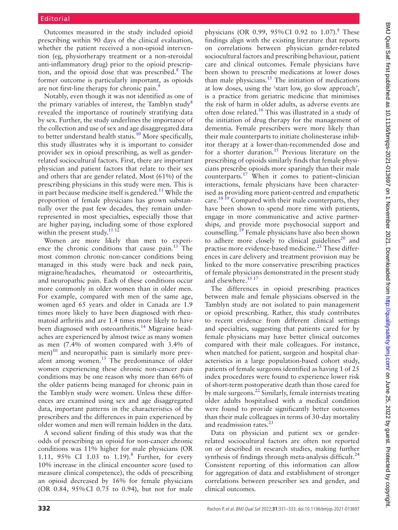### Editorial

Outcomes measured in the study included opioid prescribing within 90 days of the clinical evaluation, whether the patient received a non-opioid intervention (eg, physiotherapy treatment or a non-steroidal anti-inflammatory drug) prior to the opioid prescrip-tion, and the opioid dose that was prescribed.<sup>[8](#page-2-6)</sup> The former outcome is particularly important, as opioids are not first-line therapy for chronic pain.<sup>9</sup>

Notably, even though it was not identified as one of the primary variables of interest, the Tamblyn study<sup>[8](#page-2-6)</sup> revealed the importance of routinely stratifying data by sex. Further, the study underlines the importance of the collection and use of sex and age disaggregated data to better understand health status.<sup>10</sup> More specifically, this study illustrates why it is important to consider provider sex in opioid prescribing, as well as genderrelated sociocultural factors. First, there are important physician and patient factors that relate to their sex and others that are gender related. Most (61%) of the prescribing physicians in this study were men. This is in part because medicine itself is gendered.<sup>11</sup> While the proportion of female physicians has grown substantially over the past few decades, they remain underrepresented in most specialties, especially those that are higher paying, including some of those explored within the present study. $111$ 

Women are more likely than men to experience the chronic conditions that cause pain. $^{13}$  The most common chronic non-cancer conditions being managed in this study were back and neck pain, migraine/headaches, rheumatoid or osteoarthritis, and neuropathic pain. Each of these conditions occur more commonly in older women than in older men. For example, compared with men of the same age, women aged 65 years and older in Canada are 1.9 times more likely to have been diagnosed with rheumatoid arthritis and are 1.4 times more likely to have been diagnosed with osteoarthritis.<sup>14</sup> Migraine headaches are experienced by almost twice as many women as men (7.4% of women compared with 3.4% of men) $10$  and neuropathic pain is similarly more prevalent among women.<sup>13</sup> The predominance of older women experiencing these chronic non-cancer pain conditions may be one reason why more than 66% of the older patients being managed for chronic pain in the Tamblyn study were women. Unless these differences are examined using sex and age disaggregated data, important patterns in the characteristics of the prescribers and the differences in pain experienced by older women and men will remain hidden in the data.

A second salient finding of this study was that the odds of prescribing an opioid for non-cancer chronic conditions was 11% higher for male physicians (OR 1.11, 95% CI 1.03 to 1.19).<sup>[8](#page-2-6)</sup> Further, for every 10% increase in the clinical encounter score (used to measure clinical competence), the odds of prescribing an opioid decreased by 16% for female physicians (OR 0.84, 95%CI 0.75 to 0.94), but not for male

physicians (OR 0.99, 95% CI 0.92 to 1.07).<sup>[8](#page-2-6)</sup> These findings align with the existing literature that reports on correlations between physician gender-related sociocultural factors and prescribing behaviour, patient care and clinical outcomes. Female physicians have been shown to prescribe medications at lower doses than male physicians. $15$  The initiation of medications at low doses, using the 'start low, go slow approach', is a practice from geriatric medicine that minimises the risk of harm in older adults, as adverse events are often dose related.[16](#page-2-13) This was illustrated in a study of the initiation of drug therapy for the management of dementia. Female prescribers were more likely than their male counterparts to initiate cholinesterase inhibitor therapy at a lower-than-recommended dose and for a shorter duration.<sup>[15](#page-2-12)</sup> Previous literature on the prescribing of opioids similarly finds that female physicians prescribe opioids more sparingly than their male counterparts.[17](#page-2-14) When it comes to patient–clinician interactions, female physicians have been characterised as providing more patient-centred and empathetic care.<sup>18 19</sup> Compared with their male counterparts, they have been shown to spend more time with patients, engage in more communicative and active partnerships, and provide more psychosocial support and counselling.[19](#page-2-16) Female physicians have also been shown to adhere more closely to clinical guidelines $^{20}$  $^{20}$  $^{20}$  and practise more evidence-based medicine.<sup>21</sup> These differences in care delivery and treatment provision may be linked to the more conservative prescribing practices of female physicians demonstrated in the present study and elsewhere.<sup>[15 17](#page-2-12)</sup>

The differences in opioid prescribing practices between male and female physicians observed in the Tamblyn study are not isolated to pain management or opioid prescribing. Rather, this study contributes to recent evidence from different clinical settings and specialties, suggesting that patients cared for by female physicians may have better clinical outcomes compared with their male colleagues. For instance, when matched for patient, surgeon and hospital characteristics in a large population-based cohort study, patients of female surgeons identified as having 1 of 25 index procedures were found to experience lower risk of short-term postoperative death than those cared for by male surgeons.<sup>[22](#page-2-19)</sup> Similarly, female internists treating older adults hospitalised with a medical condition were found to provide significantly better outcomes than their male colleagues in terms of 30-day mortality and readmission rates. $^{23}$ 

Data on physician and patient sex or genderrelated sociocultural factors are often not reported on or described in research studies, making further synthesis of findings through meta-analysis difficult.<sup>[24](#page-2-21)</sup> Consistent reporting of this information can allow for aggregation of data and establishment of stronger correlations between prescriber sex and gender, and clinical outcomes.